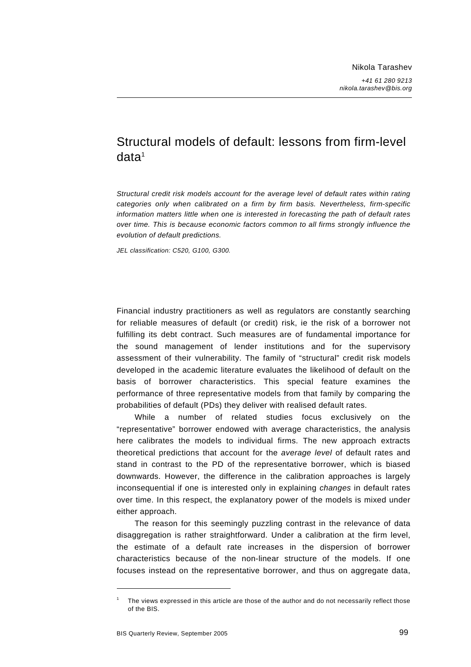# Structural models of default: lessons from firm-level  $data<sup>1</sup>$

*Structural credit risk models account for the average level of default rates within rating categories only when calibrated on a firm by firm basis. Nevertheless, firm-specific information matters little when one is interested in forecasting the path of default rates over time. This is because economic factors common to all firms strongly influence the evolution of default predictions.* 

*JEL classification: C520, G100, G300.* 

Financial industry practitioners as well as regulators are constantly searching for reliable measures of default (or credit) risk, ie the risk of a borrower not fulfilling its debt contract. Such measures are of fundamental importance for the sound management of lender institutions and for the supervisory assessment of their vulnerability. The family of "structural" credit risk models developed in the academic literature evaluates the likelihood of default on the basis of borrower characteristics. This special feature examines the performance of three representative models from that family by comparing the probabilities of default (PDs) they deliver with realised default rates.

While a number of related studies focus exclusively on the "representative" borrower endowed with average characteristics, the analysis here calibrates the models to individual firms. The new approach extracts theoretical predictions that account for the *average level* of default rates and stand in contrast to the PD of the representative borrower, which is biased downwards. However, the difference in the calibration approaches is largely inconsequential if one is interested only in explaining *changes* in default rates over time. In this respect, the explanatory power of the models is mixed under either approach.

The reason for this seemingly puzzling contrast in the relevance of data disaggregation is rather straightforward. Under a calibration at the firm level, the estimate of a default rate increases in the dispersion of borrower characteristics because of the non-linear structure of the models. If one focuses instead on the representative borrower, and thus on aggregate data,

<sup>1</sup> The views expressed in this article are those of the author and do not necessarily reflect those of the BIS.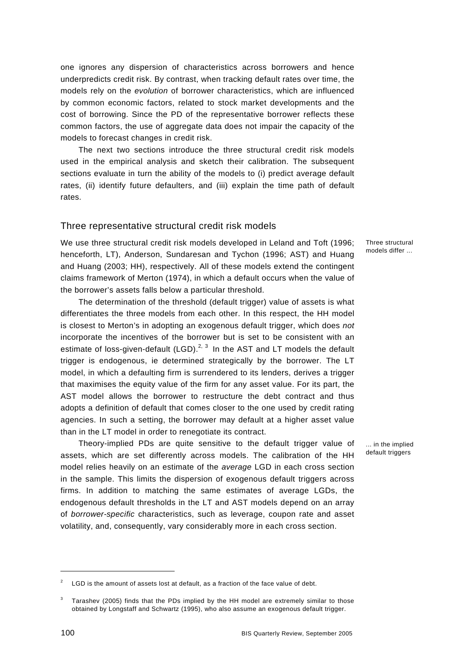one ignores any dispersion of characteristics across borrowers and hence underpredicts credit risk. By contrast, when tracking default rates over time, the models rely on the *evolution* of borrower characteristics, which are influenced by common economic factors, related to stock market developments and the cost of borrowing. Since the PD of the representative borrower reflects these common factors, the use of aggregate data does not impair the capacity of the models to forecast changes in credit risk.

The next two sections introduce the three structural credit risk models used in the empirical analysis and sketch their calibration. The subsequent sections evaluate in turn the ability of the models to (i) predict average default rates, (ii) identify future defaulters, and (iii) explain the time path of default rates.

#### Three representative structural credit risk models

We use three structural credit risk models developed in Leland and Toft (1996; henceforth, LT), Anderson, Sundaresan and Tychon (1996; AST) and Huang and Huang (2003; HH), respectively. All of these models extend the contingent claims framework of Merton (1974), in which a default occurs when the value of the borrower's assets falls below a particular threshold.

The determination of the threshold (default trigger) value of assets is what differentiates the three models from each other. In this respect, the HH model is closest to Merton's in adopting an exogenous default trigger, which does *not* incorporate the incentives of the borrower but is set to be consistent with an estimate of loss-given-default (LGD).<sup>2, 3</sup> In the AST and LT models the default trigger is endogenous, ie determined strategically by the borrower. The LT model, in which a defaulting firm is surrendered to its lenders, derives a trigger that maximises the equity value of the firm for any asset value. For its part, the AST model allows the borrower to restructure the debt contract and thus adopts a definition of default that comes closer to the one used by credit rating agencies. In such a setting, the borrower may default at a higher asset value than in the LT model in order to renegotiate its contract.

Theory-implied PDs are quite sensitive to the default trigger value of assets, which are set differently across models. The calibration of the HH model relies heavily on an estimate of the *average* LGD in each cross section in the sample. This limits the dispersion of exogenous default triggers across firms. In addition to matching the same estimates of average LGDs, the endogenous default thresholds in the LT and AST models depend on an array of *borrower-specific* characteristics, such as leverage, coupon rate and asset volatility, and, consequently, vary considerably more in each cross section.

Three structural models differ ...

... in the implied default triggers

<sup>2</sup> LGD is the amount of assets lost at default, as a fraction of the face value of debt.

<sup>3</sup> Tarashev (2005) finds that the PDs implied by the HH model are extremely similar to those obtained by Longstaff and Schwartz (1995), who also assume an exogenous default trigger.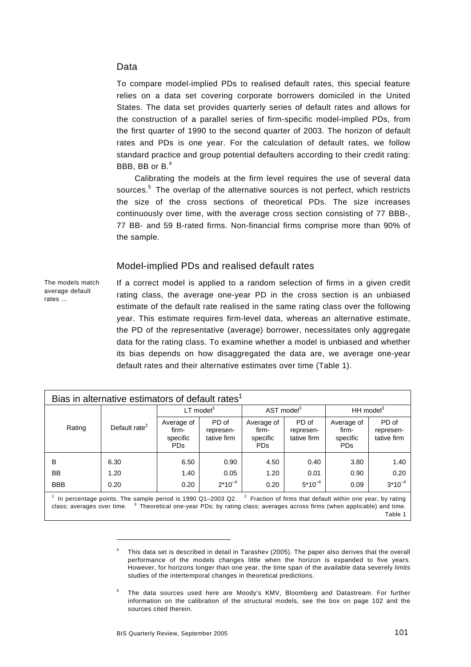#### Data

To compare model-implied PDs to realised default rates, this special feature relies on a data set covering corporate borrowers domiciled in the United States. The data set provides quarterly series of default rates and allows for the construction of a parallel series of firm-specific model-implied PDs, from the first quarter of 1990 to the second quarter of 2003. The horizon of default rates and PDs is one year. For the calculation of default rates, we follow standard practice and group potential defaulters according to their credit rating: BBB, BB or B.<sup>4</sup>

Calibrating the models at the firm level requires the use of several data sources.<sup>5</sup> The overlap of the alternative sources is not perfect, which restricts the size of the cross sections of theoretical PDs. The size increases continuously over time, with the average cross section consisting of 77 BBB-, 77 BB- and 59 B-rated firms. Non-financial firms comprise more than 90% of the sample.

#### Model-implied PDs and realised default rates

The models match average default rates ...

If a correct model is applied to a random selection of firms in a given credit rating class, the average one-year PD in the cross section is an unbiased estimate of the default rate realised in the same rating class over the following year. This estimate requires firm-level data, whereas an alternative estimate, the PD of the representative (average) borrower, necessitates only aggregate data for the rating class. To examine whether a model is unbiased and whether its bias depends on how disaggregated the data are, we average one-year default rates and their alternative estimates over time (Table 1).

| Bias in alternative estimators of default rates <sup>1</sup> |                           |                                               |                                   |                                               |                                                                                    |                                   |             |  |  |  |
|--------------------------------------------------------------|---------------------------|-----------------------------------------------|-----------------------------------|-----------------------------------------------|------------------------------------------------------------------------------------|-----------------------------------|-------------|--|--|--|
|                                                              |                           |                                               | $LT$ model $3$                    | AST model <sup>3</sup>                        |                                                                                    | $HH \text{ model}^3$              |             |  |  |  |
| Rating                                                       | Default rate <sup>2</sup> | Average of<br>firm-<br>specific<br><b>PDs</b> | PD of<br>represen-<br>tative firm | Average of<br>firm-<br>specific<br><b>PDs</b> | PD of<br>Average of<br>firm-<br>represen-<br>tative firm<br>specific<br><b>PDs</b> | PD of<br>represen-<br>tative firm |             |  |  |  |
| B                                                            | 6.30                      | 6.50                                          | 0.90                              | 4.50                                          | 0.40                                                                               | 3.80                              | 1.40        |  |  |  |
| <b>BB</b>                                                    | 1.20                      | 1.40                                          | 0.05                              | 1.20                                          | 0.01                                                                               | 0.90                              | 0.20        |  |  |  |
| <b>BBB</b>                                                   | 0.20                      | 0.20                                          | $2*10^{-4}$                       | 0.20                                          | $5*10^{-4}$                                                                        | 0.09                              | $3*10^{-4}$ |  |  |  |

<sup>1</sup> In percentage points. The sample period is 1990 Q1–2003 Q2. <sup>2</sup> Fraction of firms that default within one year, by rating class; averages over time.  $3$  Theoretical one-year PDs; by rating class; averages across firms (when applicable) and time. Table 1

<sup>4</sup> This data set is described in detail in Tarashev (2005). The paper also derives that the overall performance of the models changes little when the horizon is expanded to five years. However, for horizons longer than one year, the time span of the available data severely limits studies of the intertemporal changes in theoretical predictions.

<sup>5</sup> The data sources used here are Moody's KMV, Bloomberg and Datastream. For further information on the calibration of the structural models, see the box on page 102 and the sources cited therein.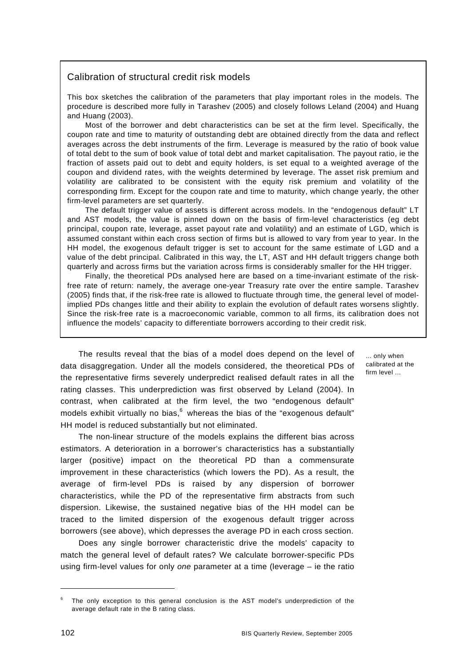#### Calibration of structural credit risk models

This box sketches the calibration of the parameters that play important roles in the models. The procedure is described more fully in Tarashev (2005) and closely follows Leland (2004) and Huang and Huang (2003).

Most of the borrower and debt characteristics can be set at the firm level. Specifically, the coupon rate and time to maturity of outstanding debt are obtained directly from the data and reflect averages across the debt instruments of the firm. Leverage is measured by the ratio of book value of total debt to the sum of book value of total debt and market capitalisation. The payout ratio, ie the fraction of assets paid out to debt and equity holders, is set equal to a weighted average of the coupon and dividend rates, with the weights determined by leverage. The asset risk premium and volatility are calibrated to be consistent with the equity risk premium and volatility of the corresponding firm. Except for the coupon rate and time to maturity, which change yearly, the other firm-level parameters are set quarterly.

The default trigger value of assets is different across models. In the "endogenous default" LT and AST models, the value is pinned down on the basis of firm-level characteristics (eg debt principal, coupon rate, leverage, asset payout rate and volatility) and an estimate of LGD, which is assumed constant within each cross section of firms but is allowed to vary from year to year. In the HH model, the exogenous default trigger is set to account for the same estimate of LGD and a value of the debt principal. Calibrated in this way, the LT, AST and HH default triggers change both quarterly and across firms but the variation across firms is considerably smaller for the HH trigger.

Finally, the theoretical PDs analysed here are based on a time-invariant estimate of the riskfree rate of return: namely, the average one-year Treasury rate over the entire sample. Tarashev (2005) finds that, if the risk-free rate is allowed to fluctuate through time, the general level of modelimplied PDs changes little and their ability to explain the evolution of default rates worsens slightly. Since the risk-free rate is a macroeconomic variable, common to all firms, its calibration does not influence the models' capacity to differentiate borrowers according to their credit risk.

The results reveal that the bias of a model does depend on the level of data disaggregation. Under all the models considered, the theoretical PDs of the representative firms severely underpredict realised default rates in all the rating classes. This underprediction was first observed by Leland (2004). In contrast, when calibrated at the firm level, the two "endogenous default" models exhibit virtually no bias, $^6$  whereas the bias of the "exogenous default" HH model is reduced substantially but not eliminated.

The non-linear structure of the models explains the different bias across estimators. A deterioration in a borrower's characteristics has a substantially larger (positive) impact on the theoretical PD than a commensurate improvement in these characteristics (which lowers the PD). As a result, the average of firm-level PDs is raised by any dispersion of borrower characteristics, while the PD of the representative firm abstracts from such dispersion. Likewise, the sustained negative bias of the HH model can be traced to the limited dispersion of the exogenous default trigger across borrowers (see above), which depresses the average PD in each cross section.

Does any single borrower characteristic drive the models' capacity to match the general level of default rates? We calculate borrower-specific PDs using firm-level values for only *one* parameter at a time (leverage – ie the ratio

... only when calibrated at the firm level ...

<sup>6</sup> The only exception to this general conclusion is the AST model's underprediction of the average default rate in the B rating class.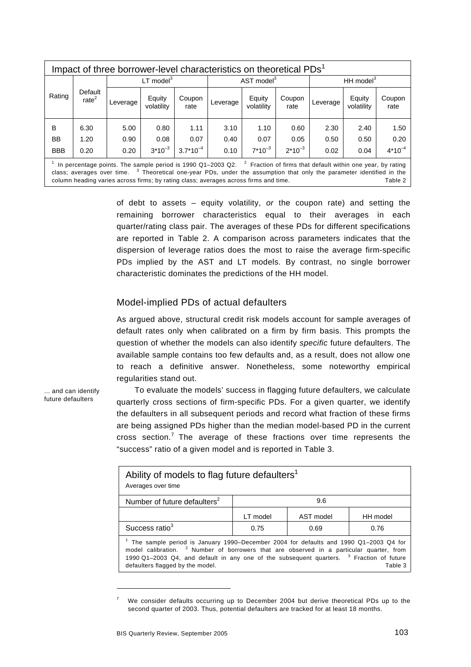|            | Impact of three borrower-level characteristics on theoretical PDs <sup>1</sup> |          |                      |                |          |                        |                |              |                      |                |  |
|------------|--------------------------------------------------------------------------------|----------|----------------------|----------------|----------|------------------------|----------------|--------------|----------------------|----------------|--|
|            |                                                                                |          | $LT$ model $3$       |                |          | AST model <sup>3</sup> |                | HH model $3$ |                      |                |  |
| Rating     | Default<br>rate <sup>2</sup>                                                   | Leverage | Equity<br>volatility | Coupon<br>rate | Leverage | Equity<br>volatility   | Coupon<br>rate | Leverage     | Equity<br>volatility | Coupon<br>rate |  |
| B          | 6.30                                                                           | 5.00     | 0.80                 | 1.11           | 3.10     | 1.10                   | 0.60           | 2.30         | 2.40                 | 1.50           |  |
| BB         | 1.20                                                                           | 0.90     | 0.08                 | 0.07           | 0.40     | 0.07                   | 0.05           | 0.50         | 0.50                 | 0.20           |  |
| <b>BBB</b> | 0.20                                                                           | 0.20     | $3*10^{-3}$          | $3.7*10^{-4}$  | 0.10     | $7*10^{-3}$            | $2*10^{-3}$    | 0.02         | 0.04                 | $4*10^{-4}$    |  |

<sup>1</sup> In percentage points. The sample period is 1990 Q1-2003 Q2.  $2^2$  Fraction of firms that default within one year, by rating class; averages over time. <sup>3</sup> Theoretical one-year PDs, under the assumption that only the parameter identified in the column heading varies across firms; by rating class; averages across firms and time.

> of debt to assets – equity volatility, *or* the coupon rate) and setting the remaining borrower characteristics equal to their averages in each quarter/rating class pair. The averages of these PDs for different specifications are reported in Table 2. A comparison across parameters indicates that the dispersion of leverage ratios does the most to raise the average firm-specific PDs implied by the AST and LT models. By contrast, no single borrower characteristic dominates the predictions of the HH model.

### Model-implied PDs of actual defaulters

As argued above, structural credit risk models account for sample averages of default rates only when calibrated on a firm by firm basis. This prompts the question of whether the models can also identify *specific* future defaulters. The available sample contains too few defaults and, as a result, does not allow one to reach a definitive answer. Nonetheless, some noteworthy empirical regularities stand out.

... and can identify future defaulters

To evaluate the models' success in flagging future defaulters, we calculate quarterly cross sections of firm-specific PDs. For a given quarter, we identify the defaulters in all subsequent periods and record what fraction of these firms are being assigned PDs higher than the median model-based PD in the current cross section.<sup>7</sup> The average of these fractions over time represents the "success" ratio of a given model and is reported in Table 3.

| Ability of models to flag future defaulters <sup>1</sup><br>Averages over time                                                                                                                                                                                                                                                                      |          |           |          |
|-----------------------------------------------------------------------------------------------------------------------------------------------------------------------------------------------------------------------------------------------------------------------------------------------------------------------------------------------------|----------|-----------|----------|
| Number of future defaulters <sup>2</sup>                                                                                                                                                                                                                                                                                                            |          | 9.6       |          |
|                                                                                                                                                                                                                                                                                                                                                     | LT model | AST model | HH model |
| Success ratio <sup>3</sup>                                                                                                                                                                                                                                                                                                                          | 0.75     | 0.69      | 0.76     |
| <sup>1</sup> The sample period is January 1990–December 2004 for defaults and 1990 Q1–2003 Q4 for<br>model calibration. <sup>2</sup> Number of borrowers that are observed in a particular quarter, from<br>1990 Q1-2003 Q4, and default in any one of the subsequent quarters. <sup>3</sup> Fraction of future<br>defaulters flagged by the model. |          |           | Table 3  |

<sup>7</sup> We consider defaults occurring up to December 2004 but derive theoretical PDs up to the second quarter of 2003. Thus, potential defaulters are tracked for at least 18 months.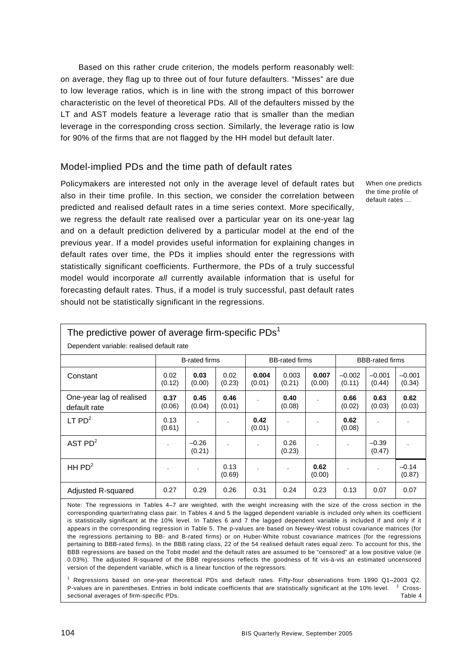Based on this rather crude criterion, the models perform reasonably well: on average, they flag up to three out of four future defaulters. "Misses" are due to low leverage ratios, which is in line with the strong impact of this borrower characteristic on the level of theoretical PDs. All of the defaulters missed by the LT and AST models feature a leverage ratio that is smaller than the median leverage in the corresponding cross section. Similarly, the leverage ratio is low for 90% of the firms that are not flagged by the HH model but default later.

#### Model-implied PDs and the time path of default rates

Policymakers are interested not only in the average level of default rates but also in their time profile. In this section, we consider the correlation between predicted and realised default rates in a time series context. More specifically, we regress the default rate realised over a particular year on its one-year lag and on a default prediction delivered by a particular model at the end of the previous year. If a model provides useful information for explaining changes in default rates over time, the PDs it implies should enter the regressions with statistically significant coefficients. Furthermore, the PDs of a truly successful model would incorporate *all* currently available information that is useful for forecasting default rates. Thus, if a model is truly successful, past default rates should not be statistically significant in the regressions.

When one predicts the time profile of default rates ...

| The predictive power of average firm-specific $PDsT$ |                |                      |                |                 |                       |                      |                        |                    |                    |
|------------------------------------------------------|----------------|----------------------|----------------|-----------------|-----------------------|----------------------|------------------------|--------------------|--------------------|
| Dependent variable: realised default rate            |                |                      |                |                 |                       |                      |                        |                    |                    |
|                                                      |                | <b>B-rated firms</b> |                |                 | <b>BB-rated firms</b> |                      | <b>BBB-rated firms</b> |                    |                    |
| Constant                                             | 0.02<br>(0.12) | 0.03<br>(0.00)       | 0.02<br>(0.23) | 0.004<br>(0.01) | 0.003<br>(0.21)       | 0.007<br>(0.00)      | $-0.002$<br>(0.11)     | $-0.001$<br>(0.44) | $-0.001$<br>(0.34) |
| One-year lag of realised<br>default rate             | 0.37<br>(0.06) | 0.45<br>(0.04)       | 0.46<br>(0.01) |                 | 0.40<br>(0.08)        |                      | 0.66<br>(0.02)         | 0.63<br>(0.03)     | 0.62<br>(0.03)     |
| $LT$ PD <sup>2</sup>                                 | 0.13<br>(0.61) |                      | $\cdot$        | 0.42<br>(0.01)  | $\lambda$             |                      | 0.62<br>(0.08)         |                    |                    |
| AST $PD2$                                            |                | $-0.26$<br>(0.21)    | Ĭ.             | $\blacksquare$  | 0.26<br>(0.23)        | $\ddot{\phantom{a}}$ |                        | $-0.39$<br>(0.47)  |                    |
| HH $PD2$                                             |                | $\cdot$              | 0.13<br>(0.69) | $\cdot$         | ٠                     | 0.62<br>(0.00)       |                        | $\cdot$            | $-0.14$<br>(0.87)  |
| Adjusted R-squared                                   | 0.27           | 0.29                 | 0.26           | 0.31            | 0.24                  | 0.23                 | 0.13                   | 0.07               | 0.07               |

Note: The regressions in Tables 4–7 are weighted, with the weight increasing with the size of the cross section in the corresponding quarter/rating class pair. In Tables 4 and 5 the lagged dependent variable is included only when its coefficient is statistically significant at the 10% level. In Tables 6 and 7 the lagged dependent variable is included if and only if it appears in the corresponding regression in Table 5. The p-values are based on Newey-West robust covariance matrices (for the regressions pertaining to BB- and B-rated firms) or on Huber-White robust covariance matrices (for the regressions pertaining to BBB-rated firms). In the BBB rating class, 22 of the 54 realised default rates equal zero. To account for this, the BBB regressions are based on the Tobit model and the default rates are assumed to be "censored" at a low positive value (ie 0.03%). The adjusted R-squared of the BBB regressions reflects the goodness of fit vis-à-vis an estimated uncensored version of the dependent variable, which is a linear function of the regressors.

1 Regressions based on one-year theoretical PDs and default rates. Fifty-four observations from 1990 Q1–2003 Q2. P-values are in parentheses. Entries in bold indicate coefficients that are statistically significant at the 10% level. <sup>2</sup> <sup>2</sup> Crosssectional averages of firm-specific PDs. Table 4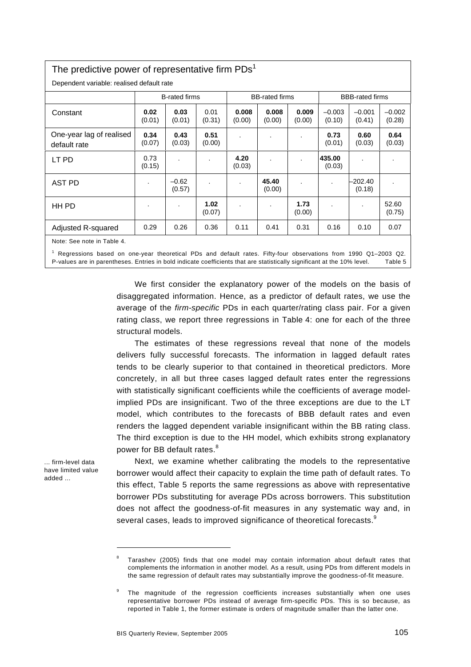## The predictive power of representative firm  $PDs<sup>1</sup>$

structural models.

| Dependent variable: realised default rate                                                                                                    |                          |                      |                |                 |                       |                 |                          |                        |                    |
|----------------------------------------------------------------------------------------------------------------------------------------------|--------------------------|----------------------|----------------|-----------------|-----------------------|-----------------|--------------------------|------------------------|--------------------|
|                                                                                                                                              |                          | <b>B-rated firms</b> |                |                 | <b>BB-rated firms</b> |                 |                          | <b>BBB-rated firms</b> |                    |
| Constant                                                                                                                                     | 0.02<br>(0.01)           | 0.03<br>(0.01)       | 0.01<br>(0.31) | 0.008<br>(0.00) | 0.008<br>(0.00)       | 0.009<br>(0.00) | $-0.003$<br>(0.10)       | $-0.001$<br>(0.41)     | $-0.002$<br>(0.28) |
| One-year lag of realised<br>default rate                                                                                                     | 0.34<br>(0.07)           | 0.43<br>(0.03)       | 0.51<br>(0.00) |                 |                       | $\cdot$         | 0.73<br>(0.01)           | 0.60<br>(0.03)         | 0.64<br>(0.03)     |
| LT PD                                                                                                                                        | 0.73<br>(0.15)           |                      |                | 4.20<br>(0.03)  |                       | $\blacksquare$  | 435.00<br>(0.03)         |                        |                    |
| AST PD                                                                                                                                       | $\cdot$                  | $-0.62$<br>(0.57)    |                |                 | 45.40<br>(0.00)       |                 | $\overline{\phantom{a}}$ | -202.40<br>(0.18)      |                    |
| HH PD                                                                                                                                        | $\overline{\phantom{a}}$ | $\cdot$              | 1.02<br>(0.07) |                 | $\blacksquare$        | 1.73<br>(0.00)  |                          |                        | 52.60<br>(0.75)    |
| Adjusted R-squared                                                                                                                           | 0.29                     | 0.26                 | 0.36           | 0.11            | 0.41                  | 0.31            | 0.16                     | 0.10                   | 0.07               |
| Note: See note in Table 4.<br>Regressions based on one-year theoretical PDs and default rates. Fifty-four observations from 1990 Q1-2003 Q2. |                          |                      |                |                 |                       |                 |                          |                        |                    |

P-values are in parentheses. Entries in bold indicate coefficients that are statistically significant at the 10% level. Table 5

We first consider the explanatory power of the models on the basis of disaggregated information. Hence, as a predictor of default rates, we use the average of the *firm-specific* PDs in each quarter/rating class pair. For a given rating class, we report three regressions in Table 4: one for each of the three

The estimates of these regressions reveal that none of the models delivers fully successful forecasts. The information in lagged default rates tends to be clearly superior to that contained in theoretical predictors. More concretely, in all but three cases lagged default rates enter the regressions with statistically significant coefficients while the coefficients of average modelimplied PDs are insignificant. Two of the three exceptions are due to the LT model, which contributes to the forecasts of BBB default rates and even renders the lagged dependent variable insignificant within the BB rating class. The third exception is due to the HH model, which exhibits strong explanatory power for BB default rates.<sup>8</sup>

... firm-level data have limited value added ...

l

Next, we examine whether calibrating the models to the representative borrower would affect their capacity to explain the time path of default rates. To this effect, Table 5 reports the same regressions as above with representative borrower PDs substituting for average PDs across borrowers. This substitution does not affect the goodness-of-fit measures in any systematic way and, in several cases, leads to improved significance of theoretical forecasts.<sup>9</sup>

<sup>8</sup> Tarashev (2005) finds that one model may contain information about default rates that complements the information in another model. As a result, using PDs from different models in the same regression of default rates may substantially improve the goodness-of-fit measure.

<sup>9</sup> The magnitude of the regression coefficients increases substantially when one uses representative borrower PDs instead of average firm-specific PDs. This is so because, as reported in Table 1, the former estimate is orders of magnitude smaller than the latter one.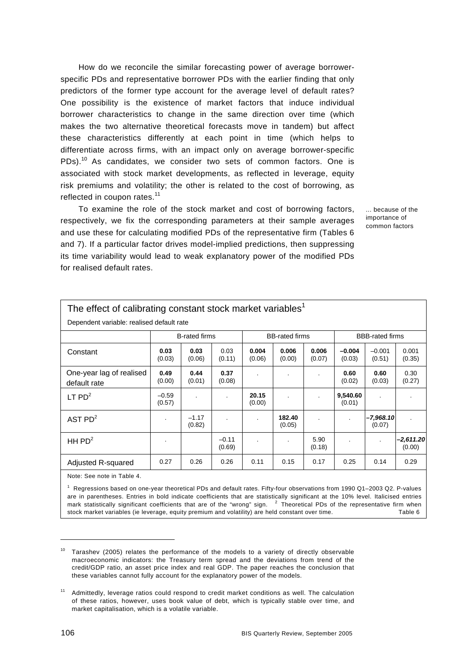How do we reconcile the similar forecasting power of average borrowerspecific PDs and representative borrower PDs with the earlier finding that only predictors of the former type account for the average level of default rates? One possibility is the existence of market factors that induce individual borrower characteristics to change in the same direction over time (which makes the two alternative theoretical forecasts move in tandem) but affect these characteristics differently at each point in time (which helps to differentiate across firms, with an impact only on average borrower-specific PDs).<sup>10</sup> As candidates, we consider two sets of common factors. One is associated with stock market developments, as reflected in leverage, equity risk premiums and volatility; the other is related to the cost of borrowing, as reflected in coupon rates.<sup>11</sup>

To examine the role of the stock market and cost of borrowing factors, respectively, we fix the corresponding parameters at their sample averages and use these for calculating modified PDs of the representative firm (Tables 6 and 7). If a particular factor drives model-implied predictions, then suppressing its time variability would lead to weak explanatory power of the modified PDs for realised default rates.

... because of the importance of common factors

| The effect of calibrating constant stock market variables <sup>1</sup> |                   |                      |                   |                 |                       |                 |                    |                        |                     |  |
|------------------------------------------------------------------------|-------------------|----------------------|-------------------|-----------------|-----------------------|-----------------|--------------------|------------------------|---------------------|--|
| Dependent variable: realised default rate                              |                   |                      |                   |                 |                       |                 |                    |                        |                     |  |
|                                                                        |                   | <b>B-rated firms</b> |                   |                 | <b>BB-rated firms</b> |                 |                    | <b>BBB-rated firms</b> |                     |  |
| Constant                                                               | 0.03<br>(0.03)    | 0.03<br>(0.06)       | 0.03<br>(0.11)    | 0.004<br>(0.06) | 0.006<br>(0.00)       | 0.006<br>(0.07) | $-0.004$<br>(0.03) | $-0.001$<br>(0.51)     | 0.001<br>(0.35)     |  |
| One-year lag of realised<br>default rate                               | 0.49<br>(0.00)    | 0.44<br>(0.01)       | 0.37<br>(0.08)    |                 |                       | $\cdot$         | 0.60<br>(0.02)     | 0.60<br>(0.03)         | 0.30<br>(0.27)      |  |
| $LT$ PD <sup>2</sup>                                                   | $-0.59$<br>(0.57) |                      |                   | 20.15<br>(0.00) |                       |                 | 9,540.60<br>(0.01) |                        |                     |  |
| AST $PD2$                                                              | $\cdot$           | $-1.17$<br>(0.82)    |                   | $\cdot$         | 182.40<br>(0.05)      | $\cdot$         |                    | $-7,968.10$<br>(0.07)  |                     |  |
| HH $PD2$                                                               | $\bullet$         |                      | $-0.11$<br>(0.69) |                 | $\bullet$             | 5.90<br>(0.18)  |                    | $\cdot$                | -2,611.20<br>(0.00) |  |
| Adjusted R-squared                                                     | 0.27              | 0.26                 | 0.26              | 0.11            | 0.15                  | 0.17            | 0.25               | 0.14                   | 0.29                |  |
| Note: See note in Table 4.                                             |                   |                      |                   |                 |                       |                 |                    |                        |                     |  |

1 Regressions based on one-year theoretical PDs and default rates. Fifty-four observations from 1990 Q1–2003 Q2. P-values are in parentheses. Entries in bold indicate coefficients that are statistically significant at the 10% level. Italicised entries mark statistically significant coefficients that are of the "wrong" sign.  $2$  Theoretical PDs of the representative firm when stock market variables (ie leverage, equity premium and volatility) are held constant over time. Table 6

 $10$  Tarashev (2005) relates the performance of the models to a variety of directly observable macroeconomic indicators: the Treasury term spread and the deviations from trend of the credit/GDP ratio, an asset price index and real GDP. The paper reaches the conclusion that these variables cannot fully account for the explanatory power of the models.

<sup>11</sup> Admittedly, leverage ratios could respond to credit market conditions as well. The calculation of these ratios, however, uses book value of debt, which is typically stable over time, and market capitalisation, which is a volatile variable.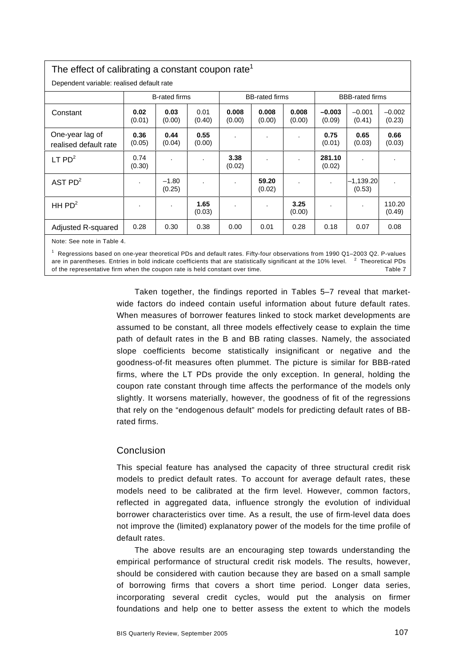# The effect of calibrating a constant coupon rate<sup>1</sup>

|                                          | <b>B-rated firms</b> |                   |                |                 | <b>BB-rated firms</b> |                 | <b>BBB-rated firms</b> |                       |                    |
|------------------------------------------|----------------------|-------------------|----------------|-----------------|-----------------------|-----------------|------------------------|-----------------------|--------------------|
| Constant                                 | 0.02<br>(0.01)       | 0.03<br>(0.00)    | 0.01<br>(0.40) | 0.008<br>(0.00) | 0.008<br>(0.00)       | 0.008<br>(0.00) | $-0.003$<br>(0.09)     | $-0.001$<br>(0.41)    | $-0.002$<br>(0.23) |
| One-year lag of<br>realised default rate | 0.36<br>(0.05)       | 0.44<br>(0.04)    | 0.55<br>(0.00) |                 |                       |                 | 0.75<br>(0.01)         | 0.65<br>(0.03)        | 0.66<br>(0.03)     |
| LT $PD2$                                 | 0.74<br>(0.30)       |                   | $\blacksquare$ | 3.38<br>(0.02)  |                       |                 | 281.10<br>(0.02)       |                       |                    |
| AST $PD2$                                |                      | $-1.80$<br>(0.25) |                |                 | 59.20<br>(0.02)       |                 | $\cdot$                | $-1,139.20$<br>(0.53) |                    |
| HH $PD2$                                 |                      |                   | 1.65<br>(0.03) |                 | ٠                     | 3.25<br>(0.00)  | $\cdot$                |                       | 110.20<br>(0.49)   |
| Adjusted R-squared                       | 0.28                 | 0.30              | 0.38           | 0.00            | 0.01                  | 0.28            | 0.18                   | 0.07                  | 0.08               |
| Note: See note in Table 4.               |                      |                   |                |                 |                       |                 |                        |                       |                    |

 Regressions based on one-year theoretical PDs and default rates. Fifty-four observations from 1990 Q1–2003 Q2. P-values are in parentheses. Entries in bold indicate coefficients that are statistically significant at the 10% level.  $2$  Theoretical PDs of the representative firm when the coupon rate is held constant over time. Table 7

> Taken together, the findings reported in Tables 5–7 reveal that marketwide factors do indeed contain useful information about future default rates. When measures of borrower features linked to stock market developments are assumed to be constant, all three models effectively cease to explain the time path of default rates in the B and BB rating classes. Namely, the associated slope coefficients become statistically insignificant or negative and the goodness-of-fit measures often plummet. The picture is similar for BBB-rated firms, where the LT PDs provide the only exception. In general, holding the coupon rate constant through time affects the performance of the models only slightly. It worsens materially, however, the goodness of fit of the regressions that rely on the "endogenous default" models for predicting default rates of BBrated firms.

### Conclusion

This special feature has analysed the capacity of three structural credit risk models to predict default rates. To account for average default rates, these models need to be calibrated at the firm level. However, common factors, reflected in aggregated data, influence strongly the evolution of individual borrower characteristics over time. As a result, the use of firm-level data does not improve the (limited) explanatory power of the models for the time profile of default rates.

The above results are an encouraging step towards understanding the empirical performance of structural credit risk models. The results, however, should be considered with caution because they are based on a small sample of borrowing firms that covers a short time period. Longer data series, incorporating several credit cycles, would put the analysis on firmer foundations and help one to better assess the extent to which the models